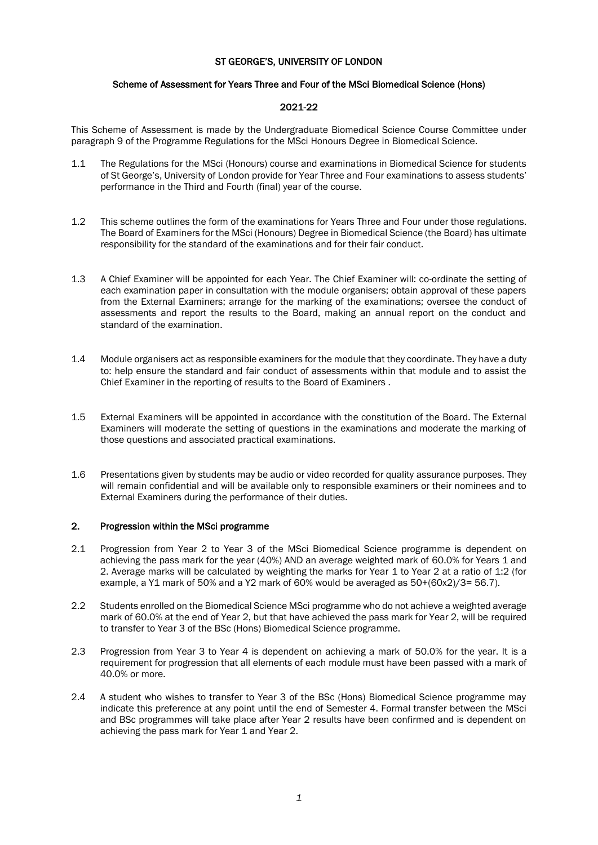# ST GEORGE'S, UNIVERSITY OF LONDON

# Scheme of Assessment for Years Three and Four of the MSci Biomedical Science (Hons)

# 2021-22

This Scheme of Assessment is made by the Undergraduate Biomedical Science Course Committee under paragraph 9 of the Programme Regulations for the MSci Honours Degree in Biomedical Science.

- 1.1 The Regulations for the MSci (Honours) course and examinations in Biomedical Science for students of St George's, University of London provide for Year Three and Four examinations to assess students' performance in the Third and Fourth (final) year of the course.
- 1.2 This scheme outlines the form of the examinations for Years Three and Four under those regulations. The Board of Examiners for the MSci (Honours) Degree in Biomedical Science (the Board) has ultimate responsibility for the standard of the examinations and for their fair conduct.
- 1.3 A Chief Examiner will be appointed for each Year. The Chief Examiner will: co-ordinate the setting of each examination paper in consultation with the module organisers; obtain approval of these papers from the External Examiners; arrange for the marking of the examinations; oversee the conduct of assessments and report the results to the Board, making an annual report on the conduct and standard of the examination.
- 1.4 Module organisers act as responsible examiners for the module that they coordinate. They have a duty to: help ensure the standard and fair conduct of assessments within that module and to assist the Chief Examiner in the reporting of results to the Board of Examiners .
- 1.5 External Examiners will be appointed in accordance with the constitution of the Board. The External Examiners will moderate the setting of questions in the examinations and moderate the marking of those questions and associated practical examinations.
- 1.6 Presentations given by students may be audio or video recorded for quality assurance purposes. They will remain confidential and will be available only to responsible examiners or their nominees and to External Examiners during the performance of their duties.

# 2. Progression within the MSci programme

- 2.1 Progression from Year 2 to Year 3 of the MSci Biomedical Science programme is dependent on achieving the pass mark for the year (40%) AND an average weighted mark of 60.0% for Years 1 and 2. Average marks will be calculated by weighting the marks for Year 1 to Year 2 at a ratio of 1:2 (for example, a Y1 mark of 50% and a Y2 mark of 60% would be averaged as 50+(60x2)/3= 56.7).
- 2.2 Students enrolled on the Biomedical Science MSci programme who do not achieve a weighted average mark of 60.0% at the end of Year 2, but that have achieved the pass mark for Year 2, will be required to transfer to Year 3 of the BSc (Hons) Biomedical Science programme.
- 2.3 Progression from Year 3 to Year 4 is dependent on achieving a mark of 50.0% for the year. It is a requirement for progression that all elements of each module must have been passed with a mark of 40.0% or more.
- 2.4 A student who wishes to transfer to Year 3 of the BSc (Hons) Biomedical Science programme may indicate this preference at any point until the end of Semester 4. Formal transfer between the MSci and BSc programmes will take place after Year 2 results have been confirmed and is dependent on achieving the pass mark for Year 1 and Year 2.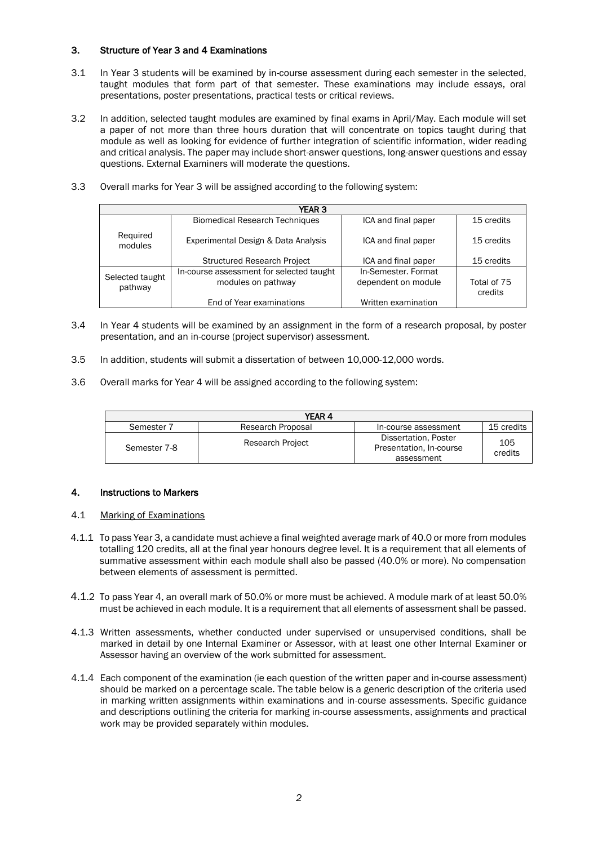# 3. Structure of Year 3 and 4 Examinations

- 3.1 In Year 3 students will be examined by in-course assessment during each semester in the selected, taught modules that form part of that semester. These examinations may include essays, oral presentations, poster presentations, practical tests or critical reviews.
- 3.2 In addition, selected taught modules are examined by final exams in April/May. Each module will set a paper of not more than three hours duration that will concentrate on topics taught during that module as well as looking for evidence of further integration of scientific information, wider reading and critical analysis. The paper may include short-answer questions, long-answer questions and essay questions. External Examiners will moderate the questions.
- 3.3 Overall marks for Year 3 will be assigned according to the following system:

| <b>YEAR 3</b>              |                                                                |                                            |                        |
|----------------------------|----------------------------------------------------------------|--------------------------------------------|------------------------|
|                            | <b>Biomedical Research Techniques</b>                          | ICA and final paper                        | 15 credits             |
| Required<br>modules        | Experimental Design & Data Analysis                            | ICA and final paper                        | 15 credits             |
|                            | <b>Structured Research Project</b>                             | ICA and final paper                        | 15 credits             |
| Selected taught<br>pathway | In-course assessment for selected taught<br>modules on pathway | In-Semester, Format<br>dependent on module | Total of 75<br>credits |
|                            | End of Year examinations                                       | Written examination                        |                        |

- 3.4 In Year 4 students will be examined by an assignment in the form of a research proposal, by poster presentation, and an in-course (project supervisor) assessment.
- 3.5 In addition, students will submit a dissertation of between 10,000-12,000 words.
- 3.6 Overall marks for Year 4 will be assigned according to the following system:

| YEAR 4       |                         |                                                               |                |
|--------------|-------------------------|---------------------------------------------------------------|----------------|
| Semester 7   | Research Proposal       | In-course assessment                                          | 15 credits     |
| Semester 7-8 | <b>Research Project</b> | Dissertation, Poster<br>Presentation, In-course<br>assessment | 105<br>credits |

## 4. Instructions to Markers

## 4.1 Marking of Examinations

- 4.1.1 To pass Year 3, a candidate must achieve a final weighted average mark of 40.0 or more from modules totalling 120 credits, all at the final year honours degree level. It is a requirement that all elements of summative assessment within each module shall also be passed (40.0% or more). No compensation between elements of assessment is permitted.
- 4.1.2 To pass Year 4, an overall mark of 50.0% or more must be achieved. A module mark of at least 50.0% must be achieved in each module. It is a requirement that all elements of assessment shall be passed.
- 4.1.3 Written assessments, whether conducted under supervised or unsupervised conditions, shall be marked in detail by one Internal Examiner or Assessor, with at least one other Internal Examiner or Assessor having an overview of the work submitted for assessment.
- 4.1.4 Each component of the examination (ie each question of the written paper and in-course assessment) should be marked on a percentage scale. The table below is a generic description of the criteria used in marking written assignments within examinations and in-course assessments. Specific guidance and descriptions outlining the criteria for marking in-course assessments, assignments and practical work may be provided separately within modules.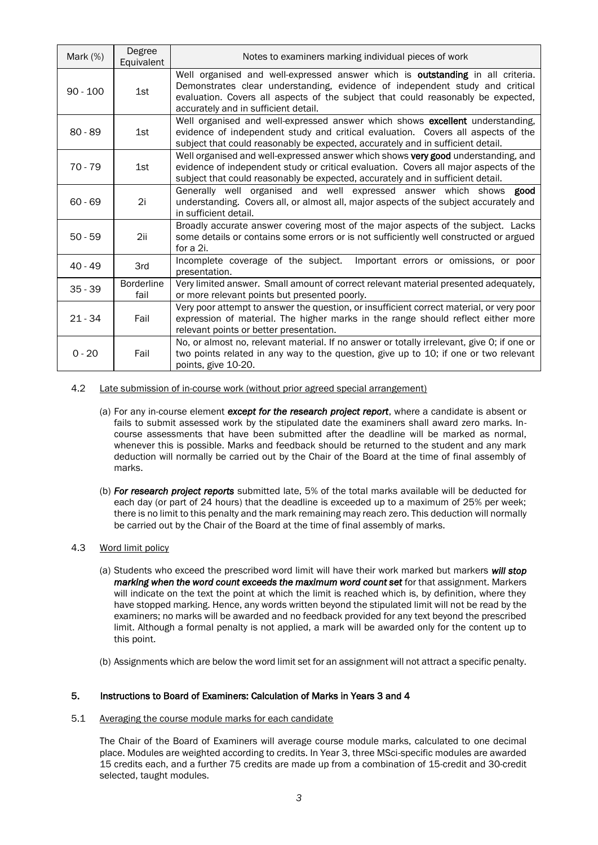| Mark $(%)$ | Degree<br>Equivalent      | Notes to examiners marking individual pieces of work                                                                                                                                                                                                                                       |
|------------|---------------------------|--------------------------------------------------------------------------------------------------------------------------------------------------------------------------------------------------------------------------------------------------------------------------------------------|
| $90 - 100$ | 1st                       | Well organised and well-expressed answer which is outstanding in all criteria.<br>Demonstrates clear understanding, evidence of independent study and critical<br>evaluation. Covers all aspects of the subject that could reasonably be expected,<br>accurately and in sufficient detail. |
| $80 - 89$  | 1st                       | Well organised and well-expressed answer which shows excellent understanding,<br>evidence of independent study and critical evaluation. Covers all aspects of the<br>subject that could reasonably be expected, accurately and in sufficient detail.                                       |
| $70 - 79$  | 1st                       | Well organised and well-expressed answer which shows very good understanding, and<br>evidence of independent study or critical evaluation. Covers all major aspects of the<br>subject that could reasonably be expected, accurately and in sufficient detail.                              |
| $60 - 69$  | 2i                        | Generally well organised and well expressed answer which shows good<br>understanding. Covers all, or almost all, major aspects of the subject accurately and<br>in sufficient detail.                                                                                                      |
| $50 - 59$  | 2ii                       | Broadly accurate answer covering most of the major aspects of the subject. Lacks<br>some details or contains some errors or is not sufficiently well constructed or argued<br>for a 2i.                                                                                                    |
| $40 - 49$  | 3rd                       | Incomplete coverage of the subject.<br>Important errors or omissions, or poor<br>presentation.                                                                                                                                                                                             |
| $35 - 39$  | <b>Borderline</b><br>fail | Very limited answer. Small amount of correct relevant material presented adequately,<br>or more relevant points but presented poorly.                                                                                                                                                      |
| $21 - 34$  | Fail                      | Very poor attempt to answer the question, or insufficient correct material, or very poor<br>expression of material. The higher marks in the range should reflect either more<br>relevant points or better presentation.                                                                    |
| $0 - 20$   | Fail                      | No, or almost no, relevant material. If no answer or totally irrelevant, give 0; if one or<br>two points related in any way to the question, give up to 10; if one or two relevant<br>points, give 10-20.                                                                                  |

- 4.2 Late submission of in-course work (without prior agreed special arrangement)
	- (a) For any in-course element *except for the research project report*, where a candidate is absent or fails to submit assessed work by the stipulated date the examiners shall award zero marks. Incourse assessments that have been submitted after the deadline will be marked as normal, whenever this is possible. Marks and feedback should be returned to the student and any mark deduction will normally be carried out by the Chair of the Board at the time of final assembly of marks.
	- (b) *For research project reports* submitted late, 5% of the total marks available will be deducted for each day (or part of 24 hours) that the deadline is exceeded up to a maximum of 25% per week; there is no limit to this penalty and the mark remaining may reach zero. This deduction will normally be carried out by the Chair of the Board at the time of final assembly of marks.

## 4.3 Word limit policy

- (a) Students who exceed the prescribed word limit will have their work marked but markers *will stop marking when the word count exceeds the maximum word count set* for that assignment. Markers will indicate on the text the point at which the limit is reached which is, by definition, where they have stopped marking. Hence, any words written beyond the stipulated limit will not be read by the examiners; no marks will be awarded and no feedback provided for any text beyond the prescribed limit. Although a formal penalty is not applied, a mark will be awarded only for the content up to this point.
- (b) Assignments which are below the word limit set for an assignment will not attract a specific penalty.

## 5. Instructions to Board of Examiners: Calculation of Marks in Years 3 and 4

5.1 Averaging the course module marks for each candidate

The Chair of the Board of Examiners will average course module marks, calculated to one decimal place. Modules are weighted according to credits. In Year 3, three MSci-specific modules are awarded 15 credits each, and a further 75 credits are made up from a combination of 15-credit and 30-credit selected, taught modules.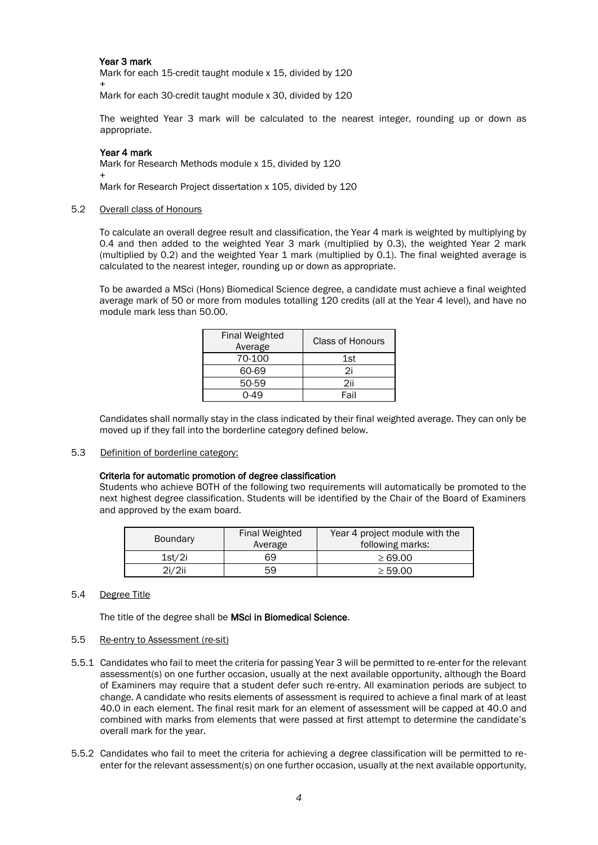## Year 3 mark

Mark for each 15-credit taught module x 15, divided by 120

+ Mark for each 30-credit taught module x 30, divided by 120

The weighted Year 3 mark will be calculated to the nearest integer, rounding up or down as appropriate.

### Year 4 mark

Mark for Research Methods module x 15, divided by 120 +

Mark for Research Project dissertation x 105, divided by 120

#### 5.2 Overall class of Honours

To calculate an overall degree result and classification, the Year 4 mark is weighted by multiplying by 0.4 and then added to the weighted Year 3 mark (multiplied by 0.3), the weighted Year 2 mark (multiplied by 0.2) and the weighted Year 1 mark (multiplied by 0.1). The final weighted average is calculated to the nearest integer, rounding up or down as appropriate.

To be awarded a MSci (Hons) Biomedical Science degree, a candidate must achieve a final weighted average mark of 50 or more from modules totalling 120 credits (all at the Year 4 level), and have no module mark less than 50.00.

| <b>Final Weighted</b><br>Average | <b>Class of Honours</b> |
|----------------------------------|-------------------------|
| 70-100                           | 1st                     |
| 60-69                            | 2i                      |
| 50-59                            | 2ii                     |
|                                  | Fail                    |

Candidates shall normally stay in the class indicated by their final weighted average. They can only be moved up if they fall into the borderline category defined below.

5.3 Definition of borderline category:

### Criteria for automatic promotion of degree classification

Students who achieve BOTH of the following two requirements will automatically be promoted to the next highest degree classification. Students will be identified by the Chair of the Board of Examiners and approved by the exam board.

| <b>Boundary</b> | Final Weighted<br>Average | Year 4 project module with the<br>following marks: |
|-----------------|---------------------------|----------------------------------------------------|
| 1st/2i          | 69                        | $\geq 69.00$                                       |
| 2i/2ii          | 59                        | $\geq 59.00$                                       |

### 5.4 Degree Title

The title of the degree shall be MSci in Biomedical Science.

### 5.5 Re-entry to Assessment (re-sit)

- 5.5.1 Candidates who fail to meet the criteria for passing Year 3 will be permitted to re-enter for the relevant assessment(s) on one further occasion, usually at the next available opportunity, although the Board of Examiners may require that a student defer such re-entry. All examination periods are subject to change. A candidate who resits elements of assessment is required to achieve a final mark of at least 40.0 in each element. The final resit mark for an element of assessment will be capped at 40.0 and combined with marks from elements that were passed at first attempt to determine the candidate's overall mark for the year.
- 5.5.2 Candidates who fail to meet the criteria for achieving a degree classification will be permitted to reenter for the relevant assessment(s) on one further occasion, usually at the next available opportunity,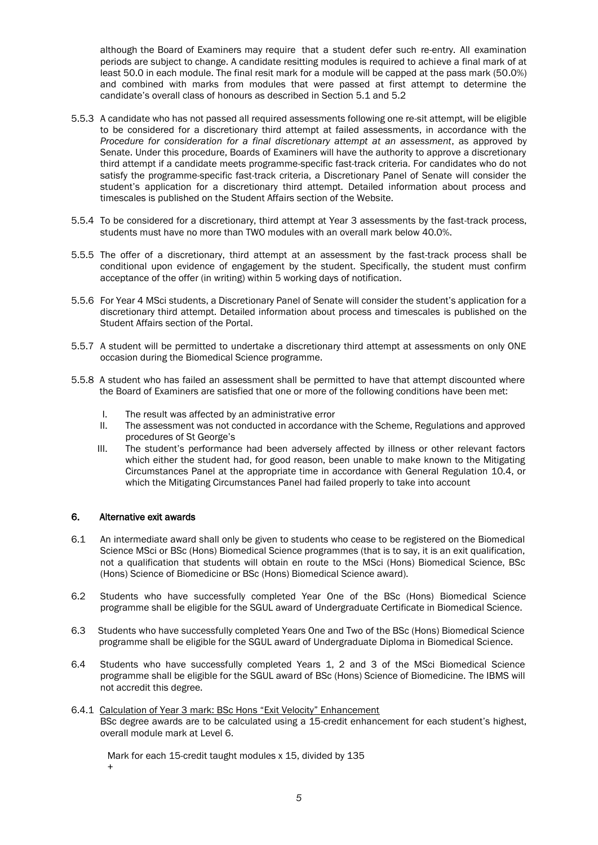although the Board of Examiners may require that a student defer such re-entry. All examination periods are subject to change. A candidate resitting modules is required to achieve a final mark of at least 50.0 in each module. The final resit mark for a module will be capped at the pass mark (50.0%) and combined with marks from modules that were passed at first attempt to determine the candidate's overall class of honours as described in Section 5.1 and 5.2

- 5.5.3 A candidate who has not passed all required assessments following one re-sit attempt, will be eligible to be considered for a discretionary third attempt at failed assessments, in accordance with the *Procedure for consideration for a final discretionary attempt at an assessment*, as approved by Senate. Under this procedure, Boards of Examiners will have the authority to approve a discretionary third attempt if a candidate meets programme-specific fast-track criteria. For candidates who do not satisfy the programme-specific fast-track criteria, a Discretionary Panel of Senate will consider the student's application for a discretionary third attempt. Detailed information about process and timescales is published on the Student Affairs section of the Website.
- 5.5.4 To be considered for a discretionary, third attempt at Year 3 assessments by the fast-track process, students must have no more than TWO modules with an overall mark below 40.0%.
- 5.5.5 The offer of a discretionary, third attempt at an assessment by the fast-track process shall be conditional upon evidence of engagement by the student. Specifically, the student must confirm acceptance of the offer (in writing) within 5 working days of notification.
- 5.5.6 For Year 4 MSci students, a Discretionary Panel of Senate will consider the student's application for a discretionary third attempt. Detailed information about process and timescales is published on the Student Affairs section of the Portal.
- 5.5.7 A student will be permitted to undertake a discretionary third attempt at assessments on only ONE occasion during the Biomedical Science programme.
- 5.5.8 A student who has failed an assessment shall be permitted to have that attempt discounted where the Board of Examiners are satisfied that one or more of the following conditions have been met:
	- I. The result was affected by an administrative error
	- II. The assessment was not conducted in accordance with the Scheme, Regulations and approved procedures of St George's
	- III. The student's performance had been adversely affected by illness or other relevant factors which either the student had, for good reason, been unable to make known to the Mitigating Circumstances Panel at the appropriate time in accordance with General Regulation 10.4, or which the Mitigating Circumstances Panel had failed properly to take into account

## 6. Alternative exit awards

- 6.1 An intermediate award shall only be given to students who cease to be registered on the Biomedical Science MSci or BSc (Hons) Biomedical Science programmes (that is to say, it is an exit qualification, not a qualification that students will obtain en route to the MSci (Hons) Biomedical Science, BSc (Hons) Science of Biomedicine or BSc (Hons) Biomedical Science award).
- 6.2 Students who have successfully completed Year One of the BSc (Hons) Biomedical Science programme shall be eligible for the SGUL award of Undergraduate Certificate in Biomedical Science.
- 6.3 Students who have successfully completed Years One and Two of the BSc (Hons) Biomedical Science programme shall be eligible for the SGUL award of Undergraduate Diploma in Biomedical Science.
- 6.4 Students who have successfully completed Years 1, 2 and 3 of the MSci Biomedical Science programme shall be eligible for the SGUL award of BSc (Hons) Science of Biomedicine. The IBMS will not accredit this degree.
- 6.4.1 Calculation of Year 3 mark: BSc Hons "Exit Velocity" Enhancement BSc degree awards are to be calculated using a 15-credit enhancement for each student's highest, overall module mark at Level 6.

Mark for each 15-credit taught modules x 15, divided by 135 +

*5*